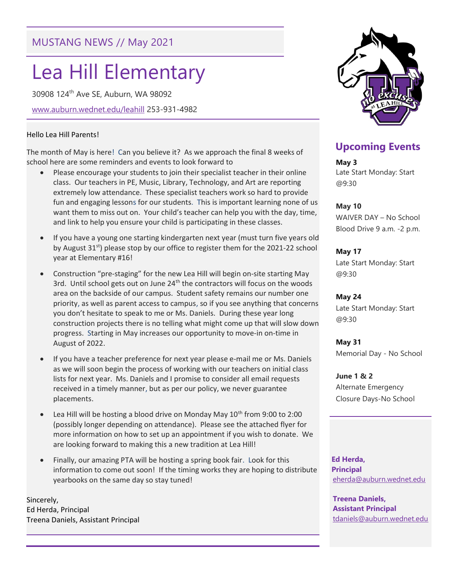# MUSTANG NEWS // May 2021

# Lea Hill Elementary

30908 124th Ave SE, Auburn, WA 98092

www.auburn.wednet.edu/leahill 253-931-4982

#### Hello Lea Hill Parents!

The month of May is here! Can you believe it? As we approach the final 8 weeks of school here are some reminders and events to look forward to

- Please encourage your students to join their specialist teacher in their online class. Our teachers in PE, Music, Library, Technology, and Art are reporting extremely low attendance. These specialist teachers work so hard to provide fun and engaging lessons for our students. This is important learning none of us want them to miss out on. Your child's teacher can help you with the day, time, and link to help you ensure your child is participating in these classes.
- If you have a young one starting kindergarten next year (must turn five years old by August  $31^{st}$ ) please stop by our office to register them for the 2021-22 school year at Elementary #16!
- Construction "pre-staging" for the new Lea Hill will begin on-site starting May 3rd. Until school gets out on June 24<sup>th</sup> the contractors will focus on the woods area on the backside of our campus. Student safety remains our number one priority, as well as parent access to campus, so if you see anything that concerns you don't hesitate to speak to me or Ms. Daniels. During these year long construction projects there is no telling what might come up that will slow down progress. Starting in May increases our opportunity to move-in on-time in August of 2022.
- If you have a teacher preference for next year please e-mail me or Ms. Daniels as we will soon begin the process of working with our teachers on initial class lists for next year. Ms. Daniels and I promise to consider all email requests received in a timely manner, but as per our policy, we never guarantee placements.
- Lea Hill will be hosting a blood drive on Monday May 10<sup>th</sup> from 9:00 to 2:00 (possibly longer depending on attendance). Please see the attached flyer for more information on how to set up an appointment if you wish to donate. We are looking forward to making this a new tradition at Lea Hill!
- Finally, our amazing PTA will be hosting a spring book fair. Look for this information to come out soon! If the timing works they are hoping to distribute yearbooks on the same day so stay tuned!

Sincerely, Ed Herda, Principal Treena Daniels, Assistant Principal



## Upcoming Events

May 3 Late Start Monday: Start @9:30

#### May 10

WAIVER DAY – No School Blood Drive 9 a.m. -2 p.m.

May 17 Late Start Monday: Start

@9:30

May 24

Late Start Monday: Start @9:30

May 31 Memorial Day - No School

June 1 & 2 Alternate Emergency Closure Days-No School

 Ed Herda, Principal eherda@auburn.wednet.edu

Treena Daniels, Assistant Principal tdaniels@auburn.wednet.edu